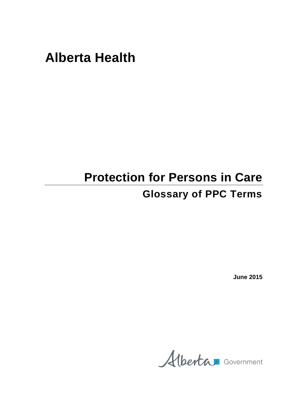## **Alberta Health**

## **Protection for Persons in Care Glossary of PPC Terms**

**June 2015**

Alberta Government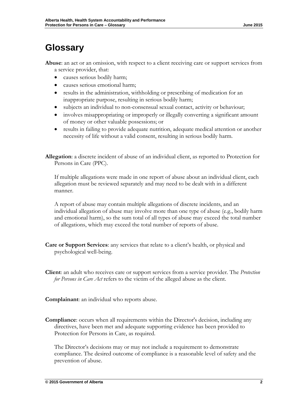## **Glossary**

**Abuse**: an act or an omission, with respect to a client receiving care or support services from a service provider, that:

- causes serious bodily harm;
- causes serious emotional harm;
- results in the administration, withholding or prescribing of medication for an inappropriate purpose, resulting in serious bodily harm;
- subjects an individual to non-consensual sexual contact, activity or behaviour;
- involves misappropriating or improperly or illegally converting a significant amount of money or other valuable possessions; or
- results in failing to provide adequate nutrition, adequate medical attention or another necessity of life without a valid consent, resulting in serious bodily harm.

**Allegation**: a discrete incident of abuse of an individual client, as reported to Protection for Persons in Care (PPC).

If multiple allegations were made in one report of abuse about an individual client, each allegation must be reviewed separately and may need to be dealt with in a different manner.

A report of abuse may contain multiple allegations of discrete incidents, and an individual allegation of abuse may involve more than one type of abuse (e.g., bodily harm and emotional harm), so the sum total of all types of abuse may exceed the total number of allegations, which may exceed the total number of reports of abuse.

- **Care or Support Services**: any services that relate to a client's health, or physical and psychological well-being.
- **Client**: an adult who receives care or support services from a service provider. The *Protection for Persons in Care Act* refers to the victim of the alleged abuse as the client.

**Complainant**: an individual who reports abuse.

**Compliance:** occurs when all requirements within the Director's decision, including any directives, have been met and adequate supporting evidence has been provided to Protection for Persons in Care, as required.

The Director's decisions may or may not include a requirement to demonstrate compliance. The desired outcome of compliance is a reasonable level of safety and the prevention of abuse.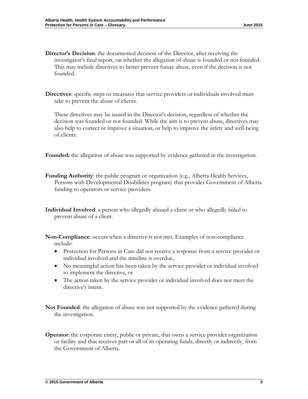- **Director's Decision**: the documented decision of the Director, after receiving the investigator's final report, on whether the allegation of abuse is founded or not founded. This may include directives to better prevent future abuse, even if the decision is not founded.
- **Directives**: specific steps or measures that service providers or individuals involved must take to prevent the abuse of clients.

These directives may be issued in the Director's decision, regardless of whether the decision was founded or not founded. While the aim is to prevent abuse, directives may also help to correct or improve a situation, or help to improve the safety and well-being of clients.

**Founded:** the allegation of abuse was supported by evidence gathered in the investigation.

**Funding Authority**: the public program or organization (e.g., Alberta Health Services, Persons with Developmental Disabilities program) that provides Government of Alberta funding to operators or service providers.

**Individual Involved**: a person who allegedly abused a client or who allegedly failed to prevent abuse of a client.

**Non-Compliance**: occurs when a directive is not met. Examples of non-compliance include:

- Protection for Persons in Care did not receive a response from a service provider or individual involved and the timeline is overdue,
- No meaningful action has been taken by the service provider or individual involved to implement the directive, or
- The action taken by the service provider or individual involved does not meet the directive's intent.

**Not Founded**: the allegation of abuse was not supported by the evidence gathered during the investigation.

**Operator:** the corporate entity, public or private, that owns a service provider organization or facility and that receives part or all of its operating funds, directly or indirectly, from the Government of Alberta.